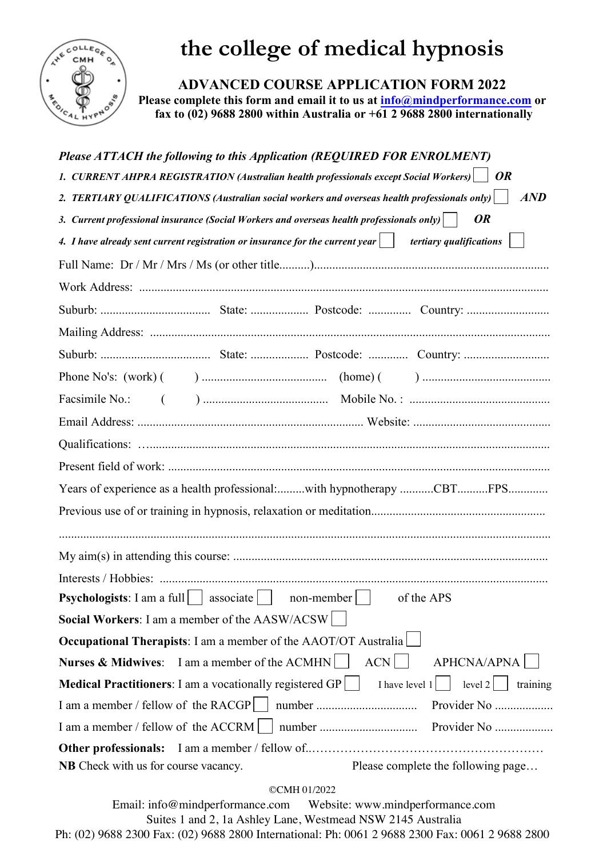

## **the college of medical hypnosis**

**ADVANCED COURSE APPLICATION FORM 2022**

**Please complete this form and email it to us at info@mindperformance.com or fax to (02) 9688 2800 within Australia or +61 2 9688 2800 internationally**

| Please ATTACH the following to this Application (REQUIRED FOR ENROLMENT)                                                  |                  |                                                                       |
|---------------------------------------------------------------------------------------------------------------------------|------------------|-----------------------------------------------------------------------|
| 1. CURRENT AHPRA REGISTRATION (Australian health professionals except Social Workers) $\mid$ OR                           |                  |                                                                       |
| 2. TERTIARY QUALIFICATIONS (Australian social workers and overseas health professionals only) $ \cdot $                   |                  | AND                                                                   |
| 3. Current professional insurance (Social Workers and overseas health professionals only) $ \cdot $                       |                  | <b>OR</b>                                                             |
| 4. I have already sent current registration or insurance for the current year $\vert \quad \vert$ tertiary qualifications |                  |                                                                       |
|                                                                                                                           |                  |                                                                       |
|                                                                                                                           |                  |                                                                       |
|                                                                                                                           |                  |                                                                       |
|                                                                                                                           |                  |                                                                       |
|                                                                                                                           |                  |                                                                       |
|                                                                                                                           |                  |                                                                       |
|                                                                                                                           |                  |                                                                       |
|                                                                                                                           |                  |                                                                       |
|                                                                                                                           |                  |                                                                       |
|                                                                                                                           |                  |                                                                       |
|                                                                                                                           |                  | Years of experience as a health professional:with hypnotherapy CBTFPS |
|                                                                                                                           |                  |                                                                       |
|                                                                                                                           |                  |                                                                       |
|                                                                                                                           |                  |                                                                       |
| <b>Psychologists</b> : I am a full $\vert$ associate $\vert$                                                              | non-member       | of the APS                                                            |
| Social Workers: I am a member of the AASW/ACSW                                                                            |                  |                                                                       |
| <b>Occupational Therapists:</b> I am a member of the AAOT/OT Australia                                                    |                  |                                                                       |
| Nurses & Midwives: I am a member of the ACMHN                                                                             | ACN              | <b>APHCNA/APNA</b>                                                    |
| <b>Medical Practitioners</b> : I am a vocationally registered GP                                                          | I have level $1$ | level $2 $<br>training                                                |
| I am a member / fellow of the RACGP     number                                                                            |                  | Provider No                                                           |
| I am a member / fellow of the ACCRM                                                                                       |                  | Provider No                                                           |
| <b>Other professionals:</b>                                                                                               |                  |                                                                       |
| <b>NB</b> Check with us for course vacancy.                                                                               |                  | Please complete the following page                                    |

©CMH 01/2022

Email: info@mindperformance.com Website: www.mindperformance.com Suites 1 and 2, 1a Ashley Lane, Westmead NSW 2145 Australia Ph: (02) 9688 2300 Fax: (02) 9688 2800 International: Ph: 0061 2 9688 2300 Fax: 0061 2 9688 2800